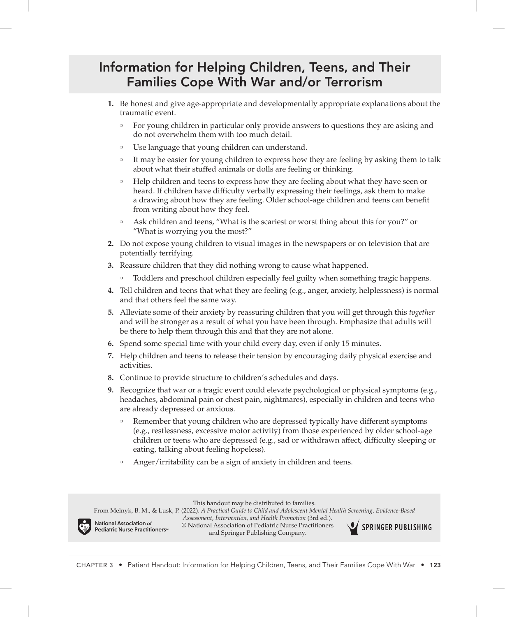## Information for Helping Children, Teens, and Their Families Cope With War and/or Terrorism

- **1.** Be honest and give age-appropriate and developmentally appropriate explanations about the traumatic event.
	- ❍ For young children in particular only provide answers to questions they are asking and do not overwhelm them with too much detail.
	- ❍ Use language that young children can understand.
	- ❍ It may be easier for young children to express how they are feeling by asking them to talk about what their stuffed animals or dolls are feeling or thinking.
	- ❍ Help children and teens to express how they are feeling about what they have seen or heard. If children have difficulty verbally expressing their feelings, ask them to make a drawing about how they are feeling. Older school-age children and teens can benefit from writing about how they feel.
	- Ask children and teens, "What is the scariest or worst thing about this for you?" or "What is worrying you the most?"
- **2.** Do not expose young children to visual images in the newspapers or on television that are potentially terrifying.
- **3.** Reassure children that they did nothing wrong to cause what happened.
	- ❍ Toddlers and preschool children especially feel guilty when something tragic happens.
- **4.** Tell children and teens that what they are feeling (e.g., anger, anxiety, helplessness) is normal and that others feel the same way.
- **5.** Alleviate some of their anxiety by reassuring children that you will get through this *together* and will be stronger as a result of what you have been through. Emphasize that adults will be there to help them through this and that they are not alone.
- **6.** Spend some special time with your child every day, even if only 15 minutes.
- **7.** Help children and teens to release their tension by encouraging daily physical exercise and activities.
- **8.** Continue to provide structure to children's schedules and days.
- **9.** Recognize that war or a tragic event could elevate psychological or physical symptoms (e.g., headaches, abdominal pain or chest pain, nightmares), especially in children and teens who are already depressed or anxious.
	- ❍ Remember that young children who are depressed typically have different symptoms (e.g., restlessness, excessive motor activity) from those experienced by older school-age children or teens who are depressed (e.g., sad or withdrawn affect, difficulty sleeping or eating, talking about feeling hopeless).
	- Anger/irritability can be a sign of anxiety in children and teens.

This handout may be distributed to families.

From Melnyk, B. M., & Lusk, P. (2022). *A Practical Guide to Child and Adolescent Mental Health Screening, Evidence-Based* 

National Association *of* Pediatric Nurse Practitioners<sup>®</sup> *Assessment, Intervention, and Health Promotion* (3rd ed.). © National Association of Pediatric Nurse Practitioners and Springer Publishing Company.